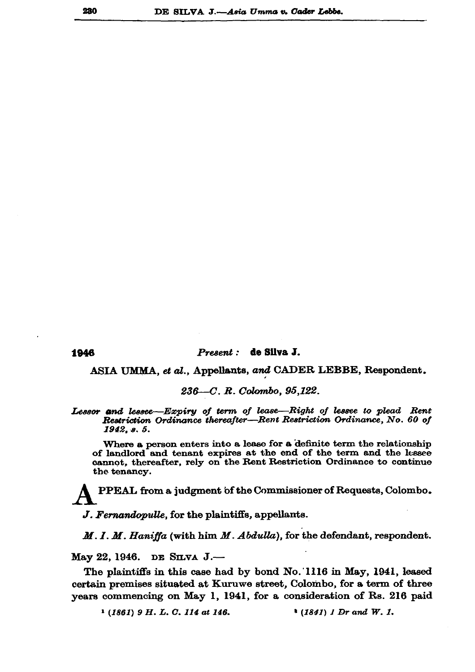1946

## Present : de Silva J.

ASIA UMMA, et al., Appellants, and CADER LEBBE, Respondent.

 $236 - C. R. Colombo, 95,122.$ 

Lessor and lessee—Expiry of term of lease—Right of lessee to plead Rent Restriction Ordinance thereafter-Rent Restriction Ordinance, No. 60 of 1942, s. 5.

Where a person enters into a lease for a definite term the relationship of landlord and tenant expires at the end of the term and the lessee cannot, thereafter, rely on the Rent Restriction Ordinance to continue the tenancy.

PPEAL from a judgment of the Commissioner of Requests, Colombo.

J. Fernandopulle, for the plaintiffs, appellants.

M. I. M. Haniffa (with him M. Abdulla), for the defendant, respondent.

Мау 22, 1946. DE SILVA J.-

The plaintiffs in this case had by bond No. 1116 in May, 1941, leased certain premises situated at Kuruwe street, Colombo, for a term of three years commencing on May 1, 1941, for a consideration of Rs. 216 paid

 $1 (1861) 9 H. L. C. 114$  at 146.  $*(1841)$  1 Dr and W. 1.